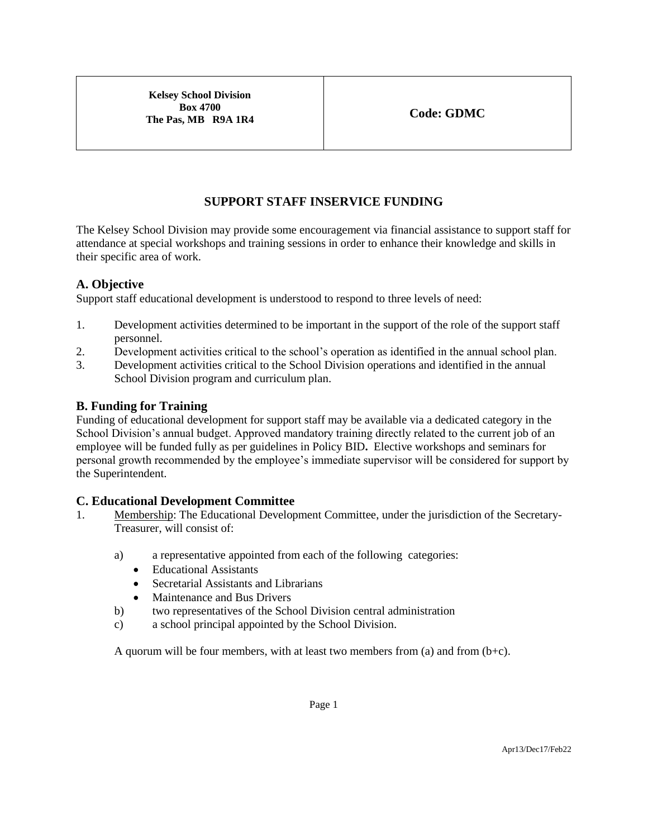**Kelsey School Division Box 4700 The Pas, MB R9A 1R4 Code: GDMC** 

# **SUPPORT STAFF INSERVICE FUNDING**

The Kelsey School Division may provide some encouragement via financial assistance to support staff for attendance at special workshops and training sessions in order to enhance their knowledge and skills in their specific area of work.

# **A. Objective**

Support staff educational development is understood to respond to three levels of need:

- 1. Development activities determined to be important in the support of the role of the support staff personnel.
- 2. Development activities critical to the school's operation as identified in the annual school plan.
- 3. Development activities critical to the School Division operations and identified in the annual School Division program and curriculum plan.

### **B. Funding for Training**

Funding of educational development for support staff may be available via a dedicated category in the School Division's annual budget. Approved mandatory training directly related to the current job of an employee will be funded fully as per guidelines in Policy BID**.** Elective workshops and seminars for personal growth recommended by the employee's immediate supervisor will be considered for support by the Superintendent.

# **C. Educational Development Committee**

- 1. Membership: The Educational Development Committee, under the jurisdiction of the Secretary-Treasurer, will consist of:
	- a) a representative appointed from each of the following categories:
		- Educational Assistants
		- Secretarial Assistants and Librarians
		- Maintenance and Bus Drivers
	- b) two representatives of the School Division central administration
	- c) a school principal appointed by the School Division.

A quorum will be four members, with at least two members from  $(a)$  and from  $(b+c)$ .

Page 1